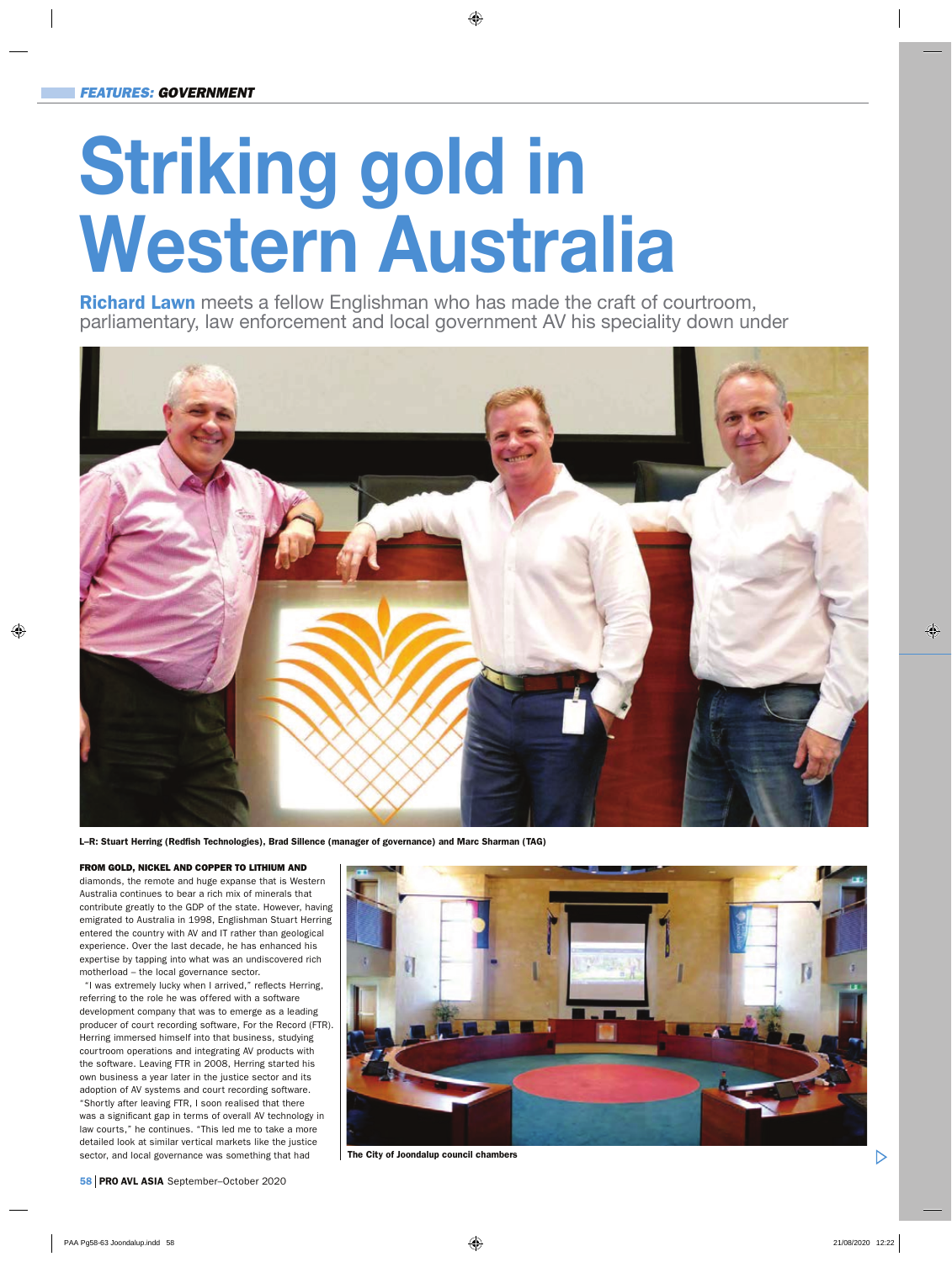## **Striking gold in Western Australia**

Richard Lawn meets a fellow Englishman who has made the craft of courtroom, parliamentary, law enforcement and local government AV his speciality down under



L–R: Stuart Herring (Redfish Technologies), Brad Sillence (manager of governance) and Marc Sharman (TAG)

## FROM GOLD, NICKEL AND COPPER TO LITHIUM AND

diamonds, the remote and huge expanse that is Western Australia continues to bear a rich mix of minerals that contribute greatly to the GDP of the state. However, having emigrated to Australia in 1998, Englishman Stuart Herring entered the country with AV and IT rather than geological experience. Over the last decade, he has enhanced his expertise by tapping into what was an undiscovered rich motherload – the local governance sector.

"I was extremely lucky when I arrived," reflects Herring, referring to the role he was offered with a software development company that was to emerge as a leading producer of court recording software, For the Record (FTR). Herring immersed himself into that business, studying courtroom operations and integrating AV products with the software. Leaving FTR in 2008, Herring started his own business a year later in the justice sector and its adoption of AV systems and court recording software. "Shortly after leaving FTR, I soon realised that there was a significant gap in terms of overall AV technology in law courts," he continues. "This led me to take a more detailed look at similar vertical markets like the justice sector, and local governance was something that had



The City of Joondalup council chambers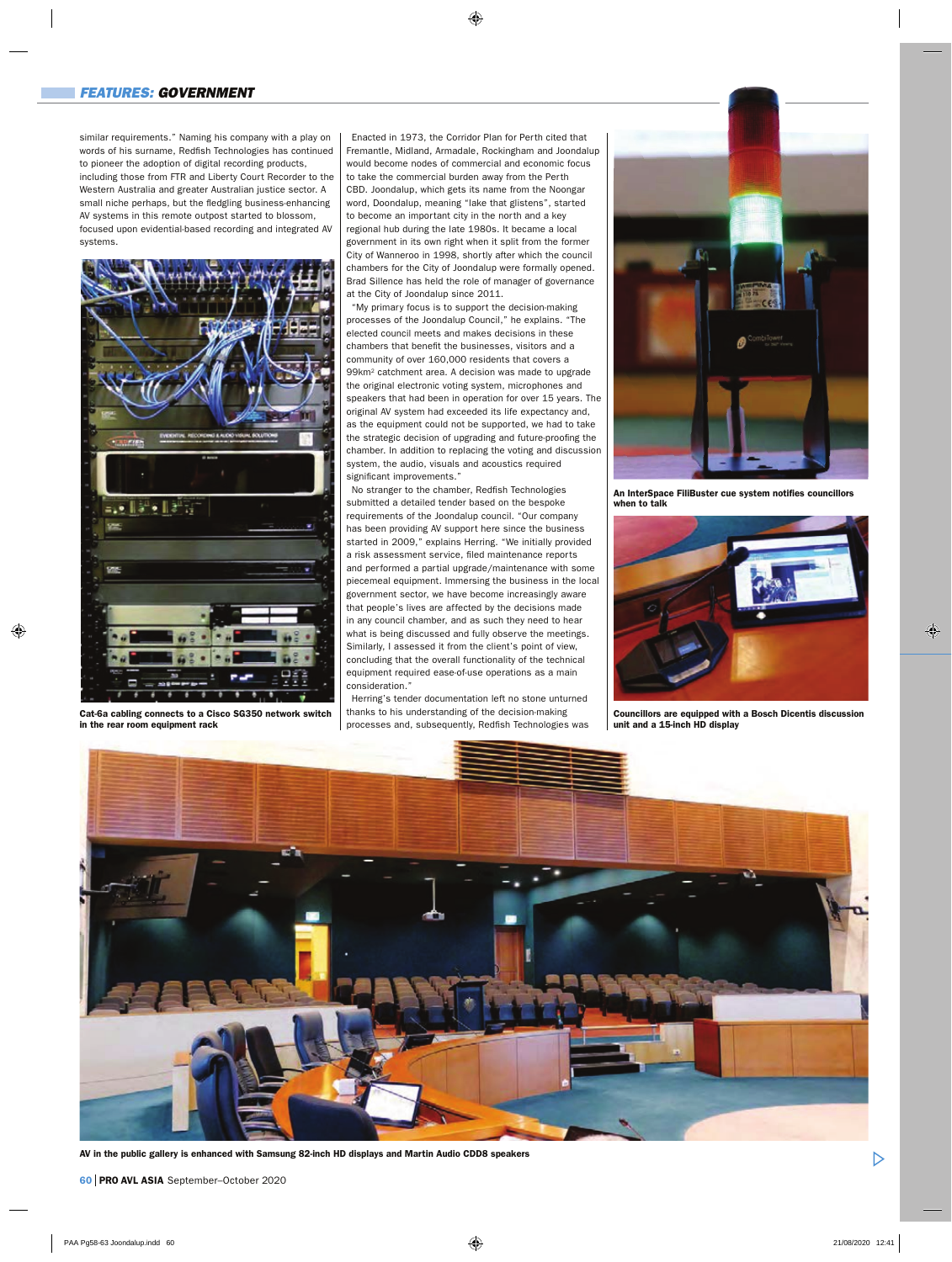similar requirements." Naming his company with a play on words of his surname, Redfish Technologies has continued to pioneer the adoption of digital recording products, including those from FTR and Liberty Court Recorder to the Western Australia and greater Australian justice sector. A small niche perhaps, but the fledgling business-enhancing AV systems in this remote outpost started to blossom, focused upon evidential-based recording and integrated AV systems.



Cat-6a cabling connects to a Cisco SG350 network switch in the rear room equipment rack

Enacted in 1973, the Corridor Plan for Perth cited that Fremantle, Midland, Armadale, Rockingham and Joondalup would become nodes of commercial and economic focus to take the commercial burden away from the Perth CBD. Joondalup, which gets its name from the Noongar word, Doondalup, meaning "lake that glistens", started to become an important city in the north and a key regional hub during the late 1980s. It became a local government in its own right when it split from the former City of Wanneroo in 1998, shortly after which the council chambers for the City of Joondalup were formally opened. Brad Sillence has held the role of manager of governance at the City of Joondalup since 2011.

"My primary focus is to support the decision-making processes of the Joondalup Council," he explains. "The elected council meets and makes decisions in these chambers that benefit the businesses, visitors and a community of over 160,000 residents that covers a 99km2 catchment area. A decision was made to upgrade the original electronic voting system, microphones and speakers that had been in operation for over 15 years. The original AV system had exceeded its life expectancy and, as the equipment could not be supported, we had to take the strategic decision of upgrading and future-proofing the chamber. In addition to replacing the voting and discussion system, the audio, visuals and acoustics required significant improvements."

No stranger to the chamber, Redfish Technologies submitted a detailed tender based on the bespoke requirements of the Joondalup council. "Our company has been providing AV support here since the business started in 2009," explains Herring. "We initially provided a risk assessment service, filed maintenance reports and performed a partial upgrade/maintenance with some piecemeal equipment. Immersing the business in the local government sector, we have become increasingly aware that people's lives are affected by the decisions made in any council chamber, and as such they need to hear what is being discussed and fully observe the meetings. Similarly, I assessed it from the client's point of view, concluding that the overall functionality of the technical equipment required ease-of-use operations as a main consideration."

Herring's tender documentation left no stone unturned thanks to his understanding of the decision-making processes and, subsequently, Redfish Technologies was



An InterSpace FiliBuster cue system notifies councillors when to talk



Councillors are equipped with a Bosch Dicentis discussion unit and a 15-inch HD display



AV in the public gallery is enhanced with Samsung 82-inch HD displays and Martin Audio CDD8 speakers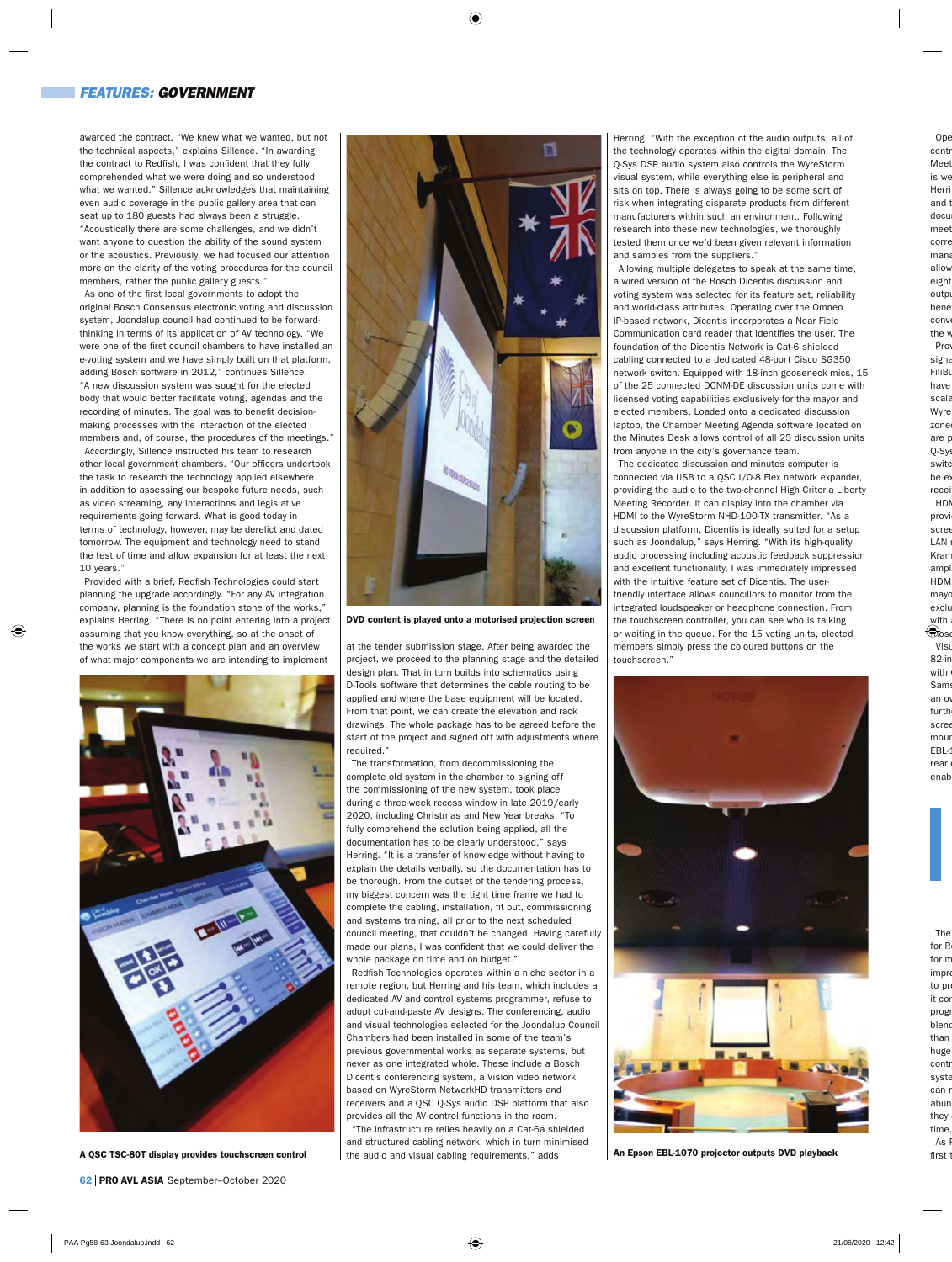awarded the contract. "We knew what we wanted, but not the technical aspects," explains Sillence. "In awarding the contract to Redfish, I was confident that they fully comprehended what we were doing and so understood what we wanted." Sillence acknowledges that maintaining even audio coverage in the public gallery area that can seat up to 180 guests had always been a struggle. "Acoustically there are some challenges, and we didn't want anyone to question the ability of the sound system or the acoustics. Previously, we had focused our attention more on the clarity of the voting procedures for the council members, rather the public gallery guests."

As one of the first local governments to adopt the original Bosch Consensus electronic voting and discussion system, Joondalup council had continued to be forwardthinking in terms of its application of AV technology. "We were one of the first council chambers to have installed an e-voting system and we have simply built on that platform, adding Bosch software in 2012," continues Sillence. "A new discussion system was sought for the elected body that would better facilitate voting, agendas and the recording of minutes. The goal was to benefit decisionmaking processes with the interaction of the elected members and, of course, the procedures of the meetings."

Accordingly, Sillence instructed his team to research other local government chambers. "Our officers undertook the task to research the technology applied elsewhere in addition to assessing our bespoke future needs, such as video streaming, any interactions and legislative requirements going forward. What is good today in terms of technology, however, may be derelict and dated tomorrow. The equipment and technology need to stand the test of time and allow expansion for at least the next 10 years."

Provided with a brief, Redfish Technologies could start planning the upgrade accordingly. "For any AV integration company, planning is the foundation stone of the works," explains Herring. "There is no point entering into a project assuming that you know everything, so at the onset of the works we start with a concept plan and an overview of what major components we are intending to implement



A QSC TSC-80T display provides touchscreen control



DVD content is played onto a motorised projection screen

at the tender submission stage. After being awarded the project, we proceed to the planning stage and the detailed design plan. That in turn builds into schematics using D-Tools software that determines the cable routing to be applied and where the base equipment will be located. From that point, we can create the elevation and rack drawings. The whole package has to be agreed before the start of the project and signed off with adjustments where required."

The transformation, from decommissioning the complete old system in the chamber to signing off the commissioning of the new system, took place during a three-week recess window in late 2019/early 2020, including Christmas and New Year breaks. "To fully comprehend the solution being applied, all the documentation has to be clearly understood," says Herring. "It is a transfer of knowledge without having to explain the details verbally, so the documentation has to be thorough. From the outset of the tendering process, my biggest concern was the tight time frame we had to complete the cabling, installation, fit out, commissioning and systems training, all prior to the next scheduled council meeting, that couldn't be changed. Having carefully made our plans, I was confident that we could deliver the whole package on time and on budget.'

Redfish Technologies operates within a niche sector in a remote region, but Herring and his team, which includes a dedicated AV and control systems programmer, refuse to adopt cut-and-paste AV designs. The conferencing, audio and visual technologies selected for the Joondalup Council Chambers had been installed in some of the team's previous governmental works as separate systems, but never as one integrated whole. These include a Bosch Dicentis conferencing system, a Vision video network based on WyreStorm NetworkHD transmitters and receivers and a QSC Q-Sys audio DSP platform that also provides all the AV control functions in the room.

"The infrastructure relies heavily on a Cat-6a shielded and structured cabling network, which in turn minimised the audio and visual cabling requirements," adds

Herring. "With the exception of the audio outputs, all of the technology operates within the digital domain. The Q-Sys DSP audio system also controls the WyreStorm visual system, while everything else is peripheral and sits on top. There is always going to be some sort of risk when integrating disparate products from different manufacturers within such an environment. Following research into these new technologies, we thoroughly tested them once we'd been given relevant information and samples from the suppliers."

Allowing multiple delegates to speak at the same time, a wired version of the Bosch Dicentis discussion and voting system was selected for its feature set, reliability and world-class attributes. Operating over the Omneo IP-based network, Dicentis incorporates a Near Field Communication card reader that identifies the user. The foundation of the Dicentis Network is Cat-6 shielded cabling connected to a dedicated 48-port Cisco SG350 network switch. Equipped with 18-inch gooseneck mics, 15 of the 25 connected DCNM-DE discussion units come with licensed voting capabilities exclusively for the mayor and elected members. Loaded onto a dedicated discussion laptop, the Chamber Meeting Agenda software located on the Minutes Desk allows control of all 25 discussion units from anyone in the city's governance team.

The dedicated discussion and minutes computer is connected via USB to a QSC I/O-8 Flex network expander, providing the audio to the two-channel High Criteria Liberty Meeting Recorder. It can display into the chamber via HDMI to the WyreStorm NHD-100-TX transmitter. "As a discussion platform, Dicentis is ideally suited for a setup such as Joondalup," says Herring. "With its high-quality audio processing including acoustic feedback suppression and excellent functionality, I was immediately impressed with the intuitive feature set of Dicentis. The userfriendly interface allows councillors to monitor from the integrated loudspeaker or headphone connection. From the touchscreen controller, you can see who is talking or waiting in the queue. For the 15 voting units, elected members simply press the coloured buttons on the touchscreen."



An Epson EBL-1070 projector outputs DVD playback